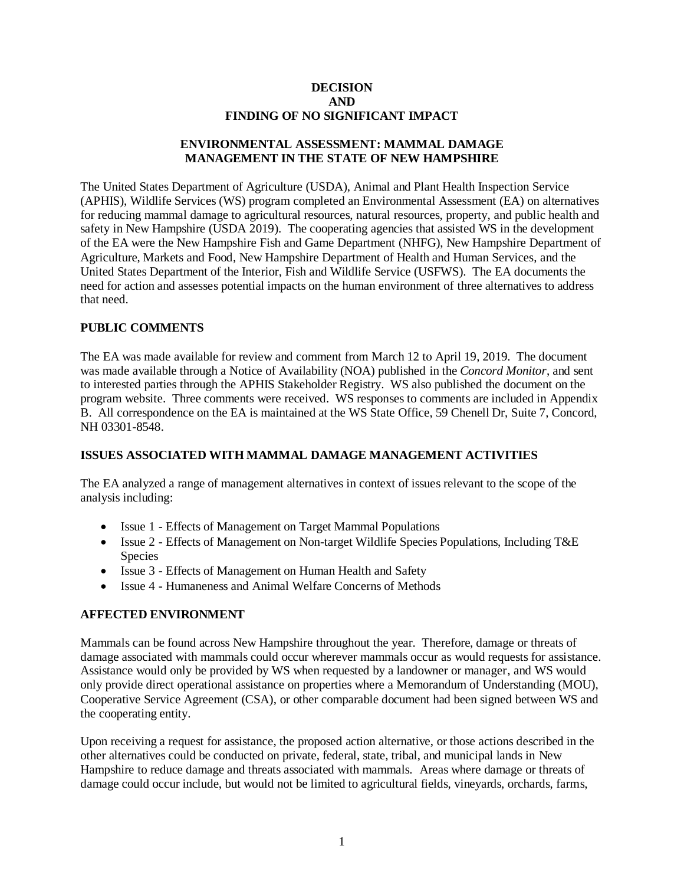#### **DECISION AND FINDING OF NO SIGNIFICANT IMPACT**

### **ENVIRONMENTAL ASSESSMENT: MAMMAL DAMAGE MANAGEMENT IN THE STATE OF NEW HAMPSHIRE**

The United States Department of Agriculture (USDA), Animal and Plant Health Inspection Service (APHIS), Wildlife Services (WS) program completed an Environmental Assessment (EA) on alternatives for reducing mammal damage to agricultural resources, natural resources, property, and public health and safety in New Hampshire (USDA 2019). The cooperating agencies that assisted WS in the development of the EA were the New Hampshire Fish and Game Department (NHFG), New Hampshire Department of Agriculture, Markets and Food, New Hampshire Department of Health and Human Services, and the United States Department of the Interior, Fish and Wildlife Service (USFWS). The EA documents the need for action and assesses potential impacts on the human environment of three alternatives to address that need.

## **PUBLIC COMMENTS**

The EA was made available for review and comment from March 12 to April 19, 2019. The document was made available through a Notice of Availability (NOA) published in the *Concord Monitor*, and sent to interested parties through the APHIS Stakeholder Registry. WS also published the document on the program website. Three comments were received. WS responses to comments are included in Appendix B. All correspondence on the EA is maintained at the WS State Office, 59 Chenell Dr, Suite 7, Concord, NH 03301-8548.

### **ISSUES ASSOCIATED WITH MAMMAL DAMAGE MANAGEMENT ACTIVITIES**

The EA analyzed a range of management alternatives in context of issues relevant to the scope of the analysis including:

- Issue 1 Effects of Management on Target Mammal Populations
- Issue 2 Effects of Management on Non-target Wildlife Species Populations, Including T&E Species
- Issue 3 Effects of Management on Human Health and Safety
- Issue 4 Humaneness and Animal Welfare Concerns of Methods

# **AFFECTED ENVIRONMENT**

Mammals can be found across New Hampshire throughout the year. Therefore, damage or threats of damage associated with mammals could occur wherever mammals occur as would requests for assistance. Assistance would only be provided by WS when requested by a landowner or manager, and WS would only provide direct operational assistance on properties where a Memorandum of Understanding (MOU), Cooperative Service Agreement (CSA), or other comparable document had been signed between WS and the cooperating entity.

Upon receiving a request for assistance, the proposed action alternative, or those actions described in the other alternatives could be conducted on private, federal, state, tribal, and municipal lands in New Hampshire to reduce damage and threats associated with mammals. Areas where damage or threats of damage could occur include, but would not be limited to agricultural fields, vineyards, orchards, farms,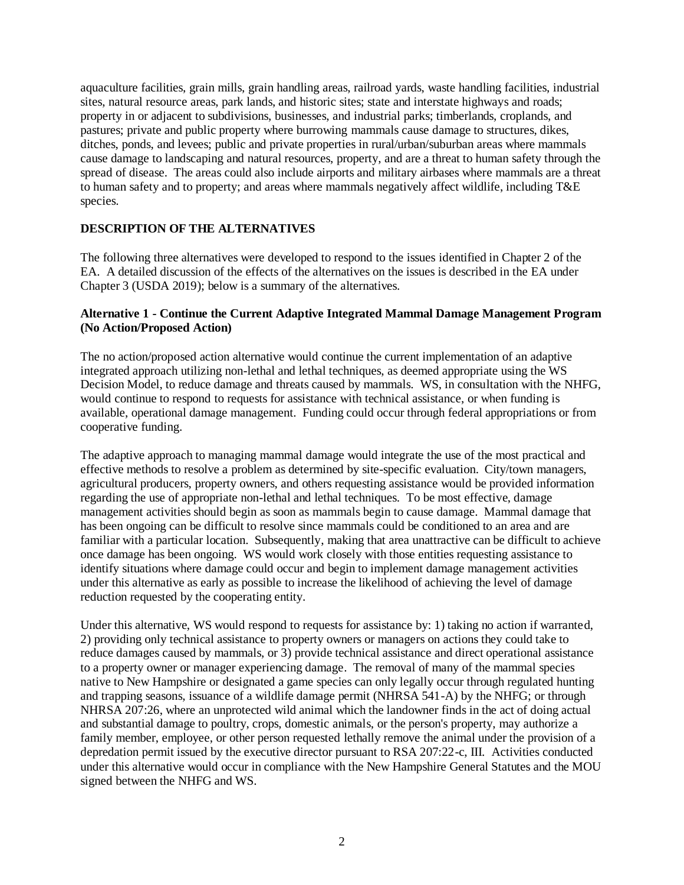aquaculture facilities, grain mills, grain handling areas, railroad yards, waste handling facilities, industrial sites, natural resource areas, park lands, and historic sites; state and interstate highways and roads; property in or adjacent to subdivisions, businesses, and industrial parks; timberlands, croplands, and pastures; private and public property where burrowing mammals cause damage to structures, dikes, ditches, ponds, and levees; public and private properties in rural/urban/suburban areas where mammals cause damage to landscaping and natural resources, property, and are a threat to human safety through the spread of disease. The areas could also include airports and military airbases where mammals are a threat to human safety and to property; and areas where mammals negatively affect wildlife, including T&E species.

### **DESCRIPTION OF THE ALTERNATIVES**

The following three alternatives were developed to respond to the issues identified in Chapter 2 of the EA. A detailed discussion of the effects of the alternatives on the issues is described in the EA under Chapter 3 (USDA 2019); below is a summary of the alternatives.

## **Alternative 1 - Continue the Current Adaptive Integrated Mammal Damage Management Program (No Action/Proposed Action)**

The no action/proposed action alternative would continue the current implementation of an adaptive integrated approach utilizing non-lethal and lethal techniques, as deemed appropriate using the WS Decision Model, to reduce damage and threats caused by mammals. WS, in consultation with the NHFG, would continue to respond to requests for assistance with technical assistance, or when funding is available, operational damage management. Funding could occur through federal appropriations or from cooperative funding.

The adaptive approach to managing mammal damage would integrate the use of the most practical and effective methods to resolve a problem as determined by site-specific evaluation. City/town managers, agricultural producers, property owners, and others requesting assistance would be provided information regarding the use of appropriate non-lethal and lethal techniques. To be most effective, damage management activities should begin as soon as mammals begin to cause damage. Mammal damage that has been ongoing can be difficult to resolve since mammals could be conditioned to an area and are familiar with a particular location. Subsequently, making that area unattractive can be difficult to achieve once damage has been ongoing. WS would work closely with those entities requesting assistance to identify situations where damage could occur and begin to implement damage management activities under this alternative as early as possible to increase the likelihood of achieving the level of damage reduction requested by the cooperating entity.

Under this alternative, WS would respond to requests for assistance by: 1) taking no action if warranted, 2) providing only technical assistance to property owners or managers on actions they could take to reduce damages caused by mammals, or 3) provide technical assistance and direct operational assistance to a property owner or manager experiencing damage. The removal of many of the mammal species native to New Hampshire or designated a game species can only legally occur through regulated hunting and trapping seasons, issuance of a wildlife damage permit (NHRSA 541-A) by the NHFG; or through NHRSA 207:26, where an unprotected wild animal which the landowner finds in the act of doing actual and substantial damage to poultry, crops, domestic animals, or the person's property, may authorize a family member, employee, or other person requested lethally remove the animal under the provision of a depredation permit issued by the executive director pursuant to RSA 207:22-c, III. Activities conducted under this alternative would occur in compliance with the New Hampshire General Statutes and the MOU signed between the NHFG and WS.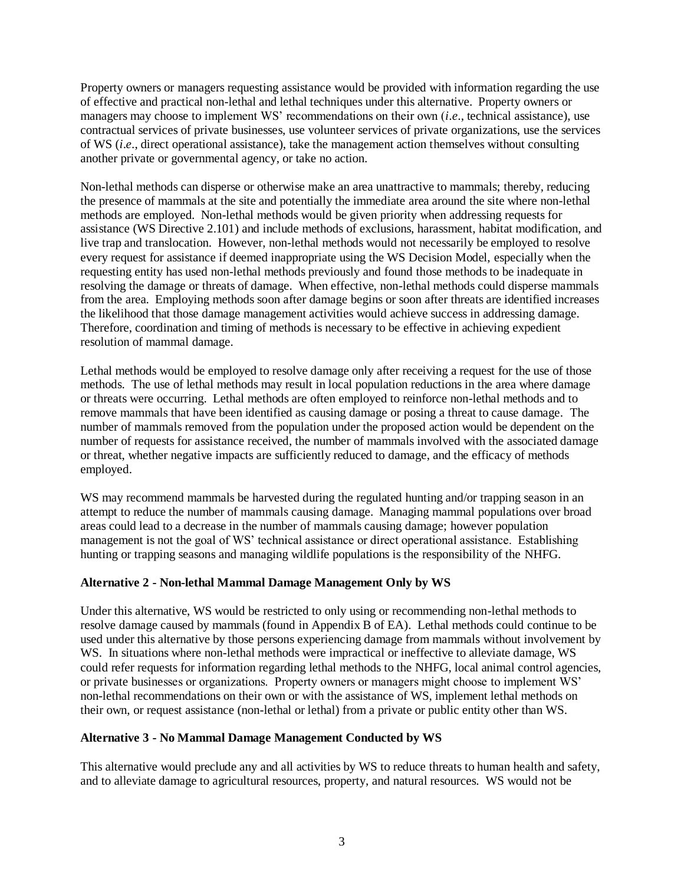Property owners or managers requesting assistance would be provided with information regarding the use of effective and practical non-lethal and lethal techniques under this alternative. Property owners or managers may choose to implement WS' recommendations on their own (*i*.*e*., technical assistance), use contractual services of private businesses, use volunteer services of private organizations, use the services of WS (*i*.*e*., direct operational assistance), take the management action themselves without consulting another private or governmental agency, or take no action.

Non-lethal methods can disperse or otherwise make an area unattractive to mammals; thereby, reducing the presence of mammals at the site and potentially the immediate area around the site where non-lethal methods are employed. Non-lethal methods would be given priority when addressing requests for assistance (WS Directive 2.101) and include methods of exclusions, harassment, habitat modification, and live trap and translocation. However, non-lethal methods would not necessarily be employed to resolve every request for assistance if deemed inappropriate using the WS Decision Model, especially when the requesting entity has used non-lethal methods previously and found those methods to be inadequate in resolving the damage or threats of damage. When effective, non-lethal methods could disperse mammals from the area. Employing methods soon after damage begins or soon after threats are identified increases the likelihood that those damage management activities would achieve success in addressing damage. Therefore, coordination and timing of methods is necessary to be effective in achieving expedient resolution of mammal damage.

Lethal methods would be employed to resolve damage only after receiving a request for the use of those methods. The use of lethal methods may result in local population reductions in the area where damage or threats were occurring. Lethal methods are often employed to reinforce non-lethal methods and to remove mammals that have been identified as causing damage or posing a threat to cause damage. The number of mammals removed from the population under the proposed action would be dependent on the number of requests for assistance received, the number of mammals involved with the associated damage or threat, whether negative impacts are sufficiently reduced to damage, and the efficacy of methods employed.

WS may recommend mammals be harvested during the regulated hunting and/or trapping season in an attempt to reduce the number of mammals causing damage. Managing mammal populations over broad areas could lead to a decrease in the number of mammals causing damage; however population management is not the goal of WS' technical assistance or direct operational assistance. Establishing hunting or trapping seasons and managing wildlife populations is the responsibility of the NHFG.

### **Alternative 2 - Non-lethal Mammal Damage Management Only by WS**

Under this alternative, WS would be restricted to only using or recommending non-lethal methods to resolve damage caused by mammals (found in Appendix B of EA). Lethal methods could continue to be used under this alternative by those persons experiencing damage from mammals without involvement by WS. In situations where non-lethal methods were impractical or ineffective to alleviate damage, WS could refer requests for information regarding lethal methods to the NHFG, local animal control agencies, or private businesses or organizations. Property owners or managers might choose to implement WS' non-lethal recommendations on their own or with the assistance of WS, implement lethal methods on their own, or request assistance (non-lethal or lethal) from a private or public entity other than WS.

### **Alternative 3 - No Mammal Damage Management Conducted by WS**

This alternative would preclude any and all activities by WS to reduce threats to human health and safety, and to alleviate damage to agricultural resources, property, and natural resources. WS would not be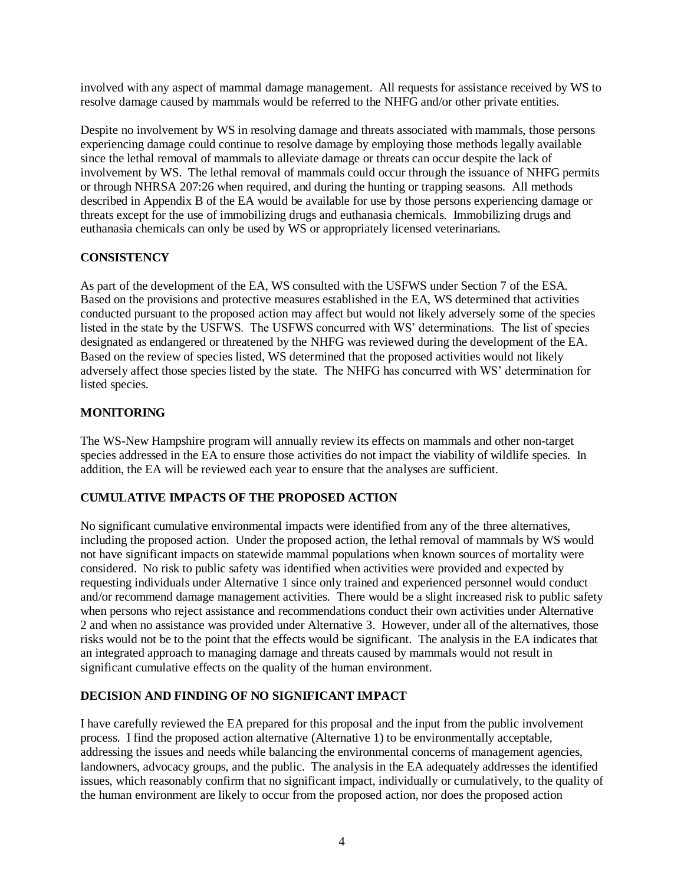involved with any aspect of mammal damage management. All requests for assistance received by WS to resolve damage caused by mammals would be referred to the NHFG and/or other private entities.

Despite no involvement by WS in resolving damage and threats associated with mammals, those persons experiencing damage could continue to resolve damage by employing those methods legally available since the lethal removal of mammals to alleviate damage or threats can occur despite the lack of involvement by WS. The lethal removal of mammals could occur through the issuance of NHFG permits or through NHRSA 207:26 when required, and during the hunting or trapping seasons. All methods described in Appendix B of the EA would be available for use by those persons experiencing damage or threats except for the use of immobilizing drugs and euthanasia chemicals. Immobilizing drugs and euthanasia chemicals can only be used by WS or appropriately licensed veterinarians.

# **CONSISTENCY**

As part of the development of the EA, WS consulted with the USFWS under Section 7 of the ESA. Based on the provisions and protective measures established in the EA, WS determined that activities conducted pursuant to the proposed action may affect but would not likely adversely some of the species listed in the state by the USFWS. The USFWS concurred with WS' determinations. The list of species designated as endangered or threatened by the NHFG was reviewed during the development of the EA. Based on the review of species listed, WS determined that the proposed activities would not likely adversely affect those species listed by the state. The NHFG has concurred with WS' determination for listed species.

# **MONITORING**

The WS-New Hampshire program will annually review its effects on mammals and other non-target species addressed in the EA to ensure those activities do not impact the viability of wildlife species. In addition, the EA will be reviewed each year to ensure that the analyses are sufficient.

# **CUMULATIVE IMPACTS OF THE PROPOSED ACTION**

No significant cumulative environmental impacts were identified from any of the three alternatives, including the proposed action. Under the proposed action, the lethal removal of mammals by WS would not have significant impacts on statewide mammal populations when known sources of mortality were considered. No risk to public safety was identified when activities were provided and expected by requesting individuals under Alternative 1 since only trained and experienced personnel would conduct and/or recommend damage management activities. There would be a slight increased risk to public safety when persons who reject assistance and recommendations conduct their own activities under Alternative 2 and when no assistance was provided under Alternative 3. However, under all of the alternatives, those risks would not be to the point that the effects would be significant. The analysis in the EA indicates that an integrated approach to managing damage and threats caused by mammals would not result in significant cumulative effects on the quality of the human environment.

# **DECISION AND FINDING OF NO SIGNIFICANT IMPACT**

I have carefully reviewed the EA prepared for this proposal and the input from the public involvement process. I find the proposed action alternative (Alternative 1) to be environmentally acceptable, addressing the issues and needs while balancing the environmental concerns of management agencies, landowners, advocacy groups, and the public. The analysis in the EA adequately addresses the identified issues, which reasonably confirm that no significant impact, individually or cumulatively, to the quality of the human environment are likely to occur from the proposed action, nor does the proposed action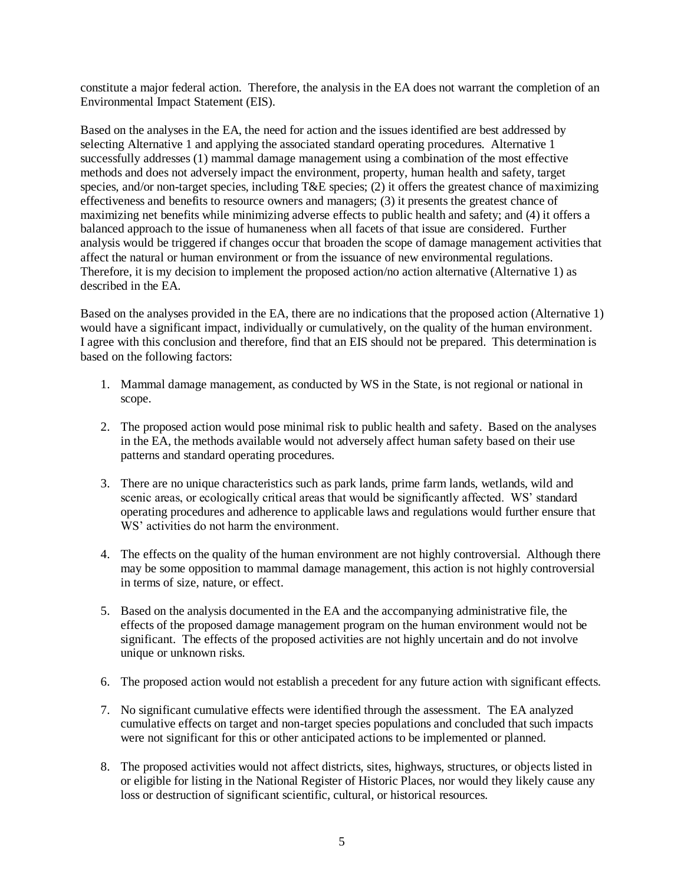constitute a major federal action. Therefore, the analysis in the EA does not warrant the completion of an Environmental Impact Statement (EIS).

Based on the analyses in the EA, the need for action and the issues identified are best addressed by selecting Alternative 1 and applying the associated standard operating procedures. Alternative 1 successfully addresses (1) mammal damage management using a combination of the most effective methods and does not adversely impact the environment, property, human health and safety, target species, and/or non-target species, including T&E species; (2) it offers the greatest chance of maximizing effectiveness and benefits to resource owners and managers; (3) it presents the greatest chance of maximizing net benefits while minimizing adverse effects to public health and safety; and (4) it offers a balanced approach to the issue of humaneness when all facets of that issue are considered. Further analysis would be triggered if changes occur that broaden the scope of damage management activities that affect the natural or human environment or from the issuance of new environmental regulations. Therefore, it is my decision to implement the proposed action/no action alternative (Alternative 1) as described in the EA.

Based on the analyses provided in the EA, there are no indications that the proposed action (Alternative 1) would have a significant impact, individually or cumulatively, on the quality of the human environment. I agree with this conclusion and therefore, find that an EIS should not be prepared. This determination is based on the following factors:

- 1. Mammal damage management, as conducted by WS in the State, is not regional or national in scope.
- 2. The proposed action would pose minimal risk to public health and safety. Based on the analyses in the EA, the methods available would not adversely affect human safety based on their use patterns and standard operating procedures.
- 3. There are no unique characteristics such as park lands, prime farm lands, wetlands, wild and scenic areas, or ecologically critical areas that would be significantly affected. WS' standard operating procedures and adherence to applicable laws and regulations would further ensure that WS' activities do not harm the environment.
- 4. The effects on the quality of the human environment are not highly controversial. Although there may be some opposition to mammal damage management, this action is not highly controversial in terms of size, nature, or effect.
- 5. Based on the analysis documented in the EA and the accompanying administrative file, the effects of the proposed damage management program on the human environment would not be significant. The effects of the proposed activities are not highly uncertain and do not involve unique or unknown risks.
- 6. The proposed action would not establish a precedent for any future action with significant effects.
- 7. No significant cumulative effects were identified through the assessment. The EA analyzed cumulative effects on target and non-target species populations and concluded that such impacts were not significant for this or other anticipated actions to be implemented or planned.
- 8. The proposed activities would not affect districts, sites, highways, structures, or objects listed in or eligible for listing in the National Register of Historic Places, nor would they likely cause any loss or destruction of significant scientific, cultural, or historical resources.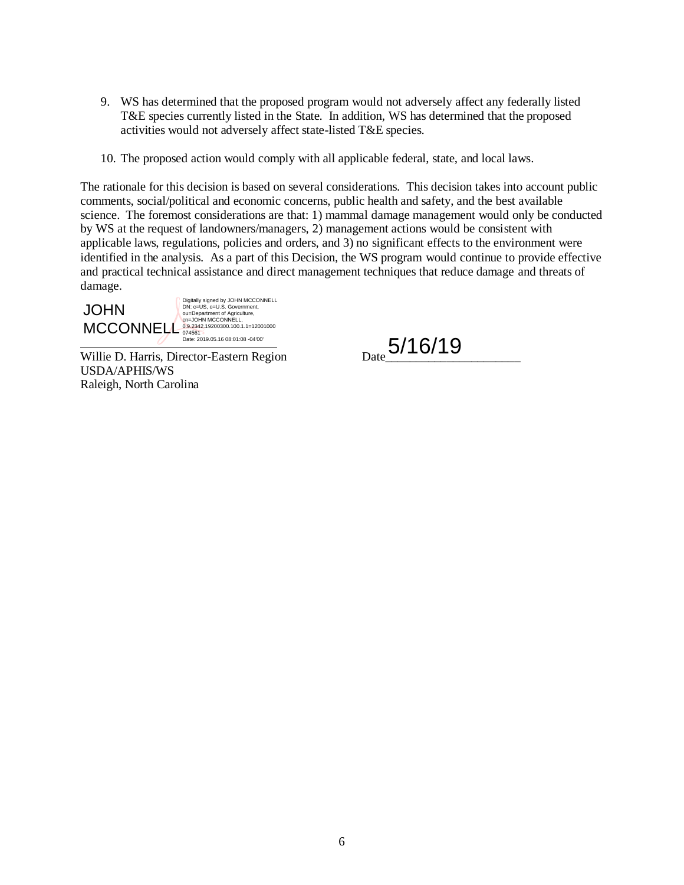- 9. WS has determined that the proposed program would not adversely affect any federally listed T&E species currently listed in the State. In addition, WS has determined that the proposed activities would not adversely affect state-listed T&E species.
- 10. The proposed action would comply with all applicable federal, state, and local laws.

The rationale for this decision is based on several considerations. This decision takes into account public comments, social/political and economic concerns, public health and safety, and the best available science. The foremost considerations are that: 1) mammal damage management would only be conducted by WS at the request of landowners/managers, 2) management actions would be consistent with applicable laws, regulations, policies and orders, and 3) no significant effects to the environment were identified in the analysis. As a part of this Decision, the WS program would continue to provide effective and practical technical assistance and direct management techniques that reduce damage and threats of damage.

l JOHN MCCONNELL<sup>0.9.2342</sup>.19200300.100.1.1=12001000 Digitally signed by JOHN MCCONNELL DN: c=US, o=U.S. Government, ou=Department of Agriculture, cn=JOHN MCCONNELL, Date: 2019.05.16 08:01:08 -04'00'

Willie D. Harris, Director-Eastern Region USDA/APHIS/WS Raleigh, North Carolina

Date 5/16/19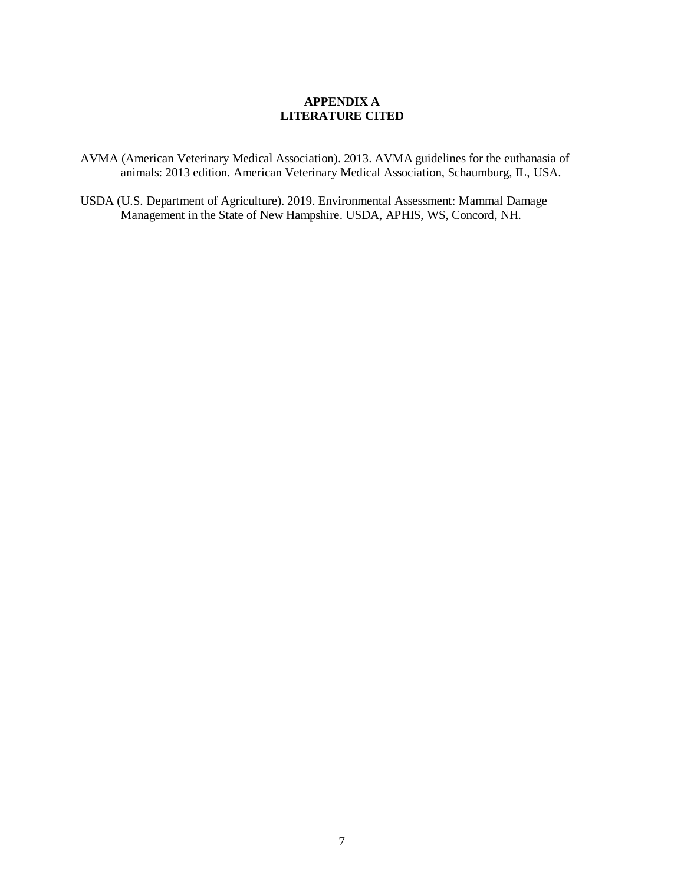### **APPENDIX A LITERATURE CITED**

AVMA (American Veterinary Medical Association). 2013. AVMA guidelines for the euthanasia of animals: 2013 edition. American Veterinary Medical Association, Schaumburg, IL, USA.

USDA (U.S. Department of Agriculture). 2019. Environmental Assessment: Mammal Damage Management in the State of New Hampshire. USDA, APHIS, WS, Concord, NH.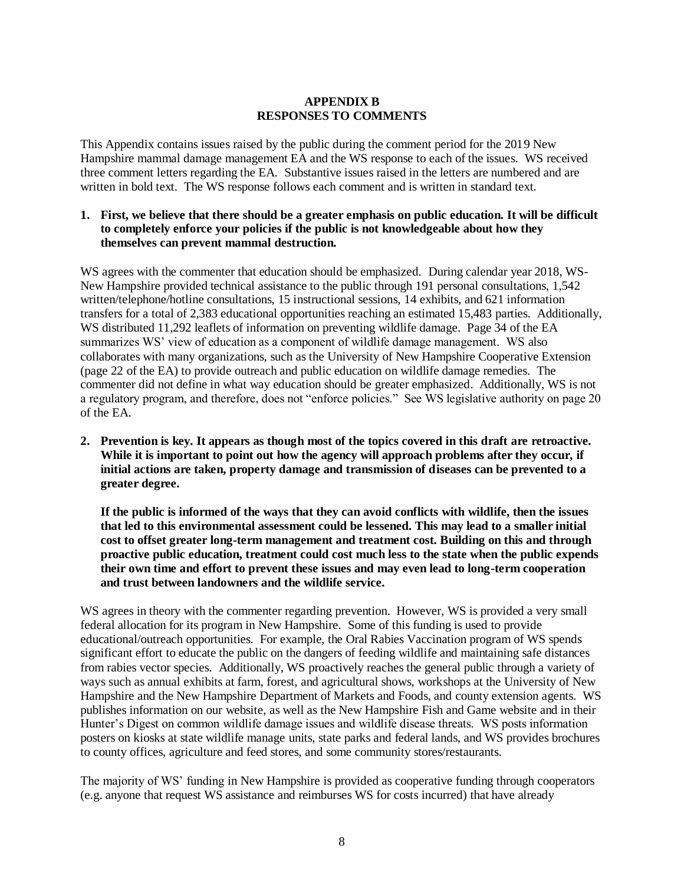## **APPENDIX B RESPONSES TO COMMENTS**

This Appendix contains issues raised by the public during the comment period for the 2019 New Hampshire mammal damage management EA and the WS response to each of the issues. WS received three comment letters regarding the EA. Substantive issues raised in the letters are numbered and are written in bold text. The WS response follows each comment and is written in standard text.

#### **1. First, we believe that there should be a greater emphasis on public education. It will be difficult to completely enforce your policies if the public is not knowledgeable about how they themselves can prevent mammal destruction.**

WS agrees with the commenter that education should be emphasized. During calendar year 2018, WS-New Hampshire provided technical assistance to the public through 191 personal consultations, 1,542 written/telephone/hotline consultations, 15 instructional sessions, 14 exhibits, and 621 information transfers for a total of 2,383 educational opportunities reaching an estimated 15,483 parties. Additionally, WS distributed 11,292 leaflets of information on preventing wildlife damage. Page 34 of the EA summarizes WS' view of education as a component of wildlife damage management. WS also collaborates with many organizations, such as the University of New Hampshire Cooperative Extension (page 22 of the EA) to provide outreach and public education on wildlife damage remedies. The commenter did not define in what way education should be greater emphasized. Additionally, WS is not a regulatory program, and therefore, does not "enforce policies." See WS legislative authority on page 20 of the EA.

**2. Prevention is key. It appears as though most of the topics covered in this draft are retroactive. While it is important to point out how the agency will approach problems after they occur, if initial actions are taken, property damage and transmission of diseases can be prevented to a greater degree.**

**If the public is informed of the ways that they can avoid conflicts with wildlife, then the issues that led to this environmental assessment could be lessened. This may lead to a smaller initial cost to offset greater long-term management and treatment cost. Building on this and through proactive public education, treatment could cost much less to the state when the public expends their own time and effort to prevent these issues and may even lead to long-term cooperation and trust between landowners and the wildlife service.**

WS agrees in theory with the commenter regarding prevention. However, WS is provided a very small federal allocation for its program in New Hampshire. Some of this funding is used to provide educational/outreach opportunities. For example, the Oral Rabies Vaccination program of WS spends significant effort to educate the public on the dangers of feeding wildlife and maintaining safe distances from rabies vector species. Additionally, WS proactively reaches the general public through a variety of ways such as annual exhibits at farm, forest, and agricultural shows, workshops at the University of New Hampshire and the New Hampshire Department of Markets and Foods, and county extension agents. WS publishes information on our website, as well as the New Hampshire Fish and Game website and in their Hunter's Digest on common wildlife damage issues and wildlife disease threats. WS posts information posters on kiosks at state wildlife manage units, state parks and federal lands, and WS provides brochures to county offices, agriculture and feed stores, and some community stores/restaurants.

The majority of WS' funding in New Hampshire is provided as cooperative funding through cooperators (e.g. anyone that request WS assistance and reimburses WS for costs incurred) that have already